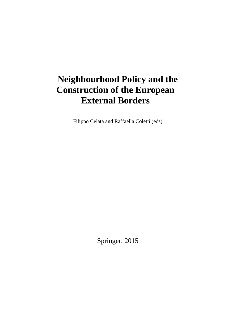# **Neighbourhood Policy and the Construction of the European External Borders**

Filippo Celata and Raffaella Coletti (eds)

Springer, 2015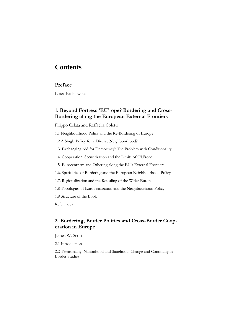# **Contents**

#### **Preface**

Luiza Bialsiewicz

# **1. Beyond Fortress 'EU'rope? Bordering and Cross-Bordering along the European External Frontiers**

Filippo Celata and Raffaella Coletti

- 1.1 Neighbourhood Policy and the Re-Bordering of Europe
- 1.2 A Single Policy for a Diverse Neighbourhood?
- 1.3. Exchanging Aid for Democracy? The Problem with Conditionality
- 1.4. Cooperation, Securitization and the Limits of 'EU'rope
- 1.5. Eurocentrism and Othering along the EU's External Frontiers
- 1.6. Spatialities of Bordering and the European Neighbourhood Policy
- 1.7. Regionalization and the Rescaling of the Wider Europe
- 1.8 Topologies of Europeanization and the Neighbourhood Policy
- 1.9 Structure of the Book

References

#### **2. Bordering, Border Politics and Cross-Border Cooperation in Europe**

James W. Scott

2.1 Introduction

2.2 Territoriality, Nationhood and Statehood: Change and Continuity in Border Studies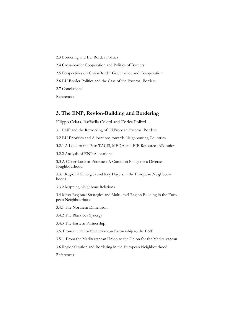- 2.3 Bordering and EU Border Politics
- 2.4 Cross-border Cooperation and Politics of Borders
- 2.5 Perspectives on Cross-Border Governance and Co-operation
- 2.6 EU Border Politics and the Case of the External Borders
- 2.7 Conclusions

References

#### **3. The ENP, Region-Building and Bordering**

Filippo Celata, Raffaella Coletti and Enrica Polizzi

3.1 ENP and the Reworking of 'EU'ropean External Borders

3.2 EU Priorities and Allocations towards Neighbouring Countries

3.2.1 A Look to the Past: TACIS, MEDA and EIB Resources Allocation

3.2.2 Analysis of ENP Allocations

3.3 A Closer Look at Priorities: A Common Policy for a Diverse Neighbourhood

3.3.1 Regional Strategies and Key Players in the European Neighbourhoods

3.3.2 Mapping Neighbour Relations

3.4 Meso-Regional Strategies and Multi-level Region Building in the European Neighbourhood

3.4.1 The Northern Dimension

3.4.2 The Black Sea Synergy

3.4.3 The Eastern Partnership

3.5. From the Euro-Mediterranean Partnership to the ENP

3.5.1. From the Mediterranean Union to the Union for the Mediterranean

3.6 Regionalization and Bordering in the European Neighbourhood

References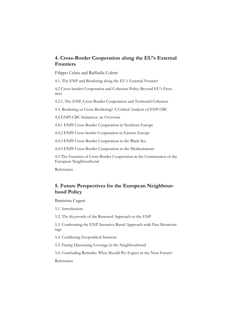# **4. Cross-Border Cooperation along the EU's External Frontiers**

Filippo Celata and Raffaella Coletti

4.1. The ENP and Bordering along the EU's External Frontier

4.2 Cross-border Cooperation and Cohesion Policy Beyond EU's Frontiers

4.2.1. The ENP, Cross-Border Cooperation and Territorial Cohesion

4.3. Bordering or Cross-Bordering? A Critical Analysis of ENP CBC

4.4 ENPI-CBC Initiatives: an Overview

4.4.1 ENPI Cross-Border Cooperation in Northern Europe

4.4.2 ENPI Cross-border Cooperation in Eastern Europe

4.4.3 ENPI Cross-Border Cooperation in the Black Sea

4.4.4 ENPI Cross-Border Cooperation in the Mediterranean

4.5 The Function of Cross-Border Cooperation in the Construction of the European Neighbourhood

References

# **5. Future Perspectives for the European Neighbourhood Policy**

Battistina Cugusi

5.1. Introduction

5.2. The Keywords of the Renewed Approach to the ENP

5.3. Confronting the ENP Incentive Based Approach with Past Shortcomings

5.4. Conflicting Geopolitical Interests

5.5. Facing Decreasing Leverage in the Neighbourhood

5.6. Concluding Remarks: What Should We Expect in the Near Future?

References